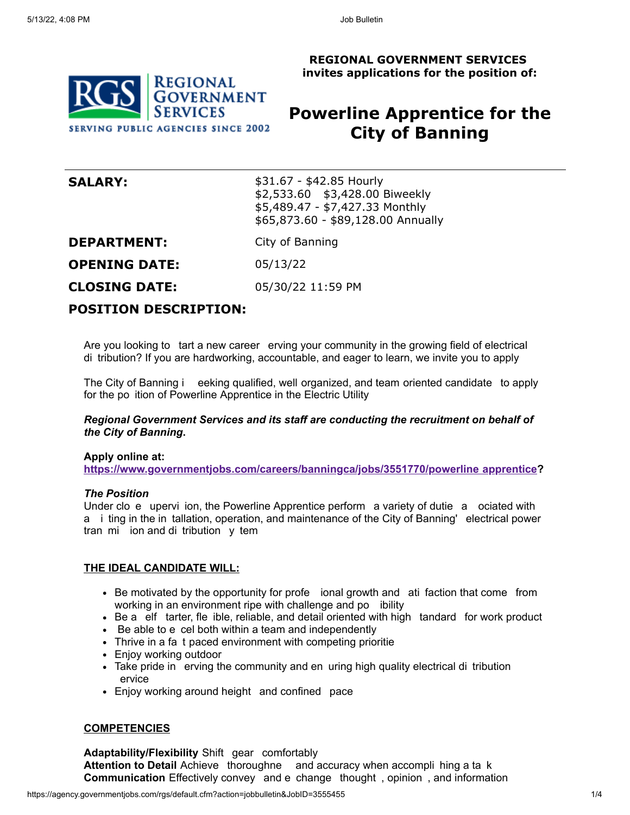**REGIONAL GOVERNMENT SERVICES invites applications for the position of:**



# **Powerline Apprentice for the City of Banning**

| <b>SALARY:</b>       | \$31.67 - \$42.85 Hourly<br>\$2,533.60 \$3,428.00 Biweekly<br>\$5,489.47 - \$7,427.33 Monthly<br>\$65,873.60 - \$89,128.00 Annually |
|----------------------|-------------------------------------------------------------------------------------------------------------------------------------|
| <b>DEPARTMENT:</b>   | City of Banning                                                                                                                     |
| <b>OPENING DATE:</b> | 05/13/22                                                                                                                            |
| <b>CLOSING DATE:</b> | 05/30/22 11:59 PM                                                                                                                   |
|                      |                                                                                                                                     |

## **POSITION DESCRIPTION:**

Are you looking to tart a new career erving your community in the growing field of electrical di tribution? If you are hardworking, accountable, and eager to learn, we invite you to apply

The City of Banning i eeking qualified, well organized, and team oriented candidate to apply for the po ition of Powerline Apprentice in the Electric Utility

#### *Regional Government Services and its staff are conducting the recruitment on behalf of the City of Banning***.**

#### **Apply online at:**

**https://www.governmentjobs.com/careers/banningca/jobs/3551770/powerline apprentice?**

#### *The Position*

Under clo e upervi ion, the Powerline Apprentice perform a variety of dutie a ociated with a i ting in the in tallation, operation, and maintenance of the City of Banning' electrical power tran mi ion and di tribution y tem

#### **THE IDEAL CANDIDATE WILL:**

- Be motivated by the opportunity for profe ional growth and ati faction that come from working in an environment ripe with challenge and po ibility
- Be a elf tarter, fle ible, reliable, and detail oriented with high tandard for work product
- Be able to e cel both within a team and independently
- Thrive in a fa t paced environment with competing prioritie
- Enjoy working outdoor
- Take pride in erving the community and en uring high quality electrical di tribution ervice
- Enjoy working around height and confined pace

#### **COMPETENCIES**

**Adaptability/Flexibility** Shift gear comfortably **Attention to Detail** Achieve thoroughne and accuracy when accompli hing a ta k **Communication** Effectively convey and e change thought , opinion , and information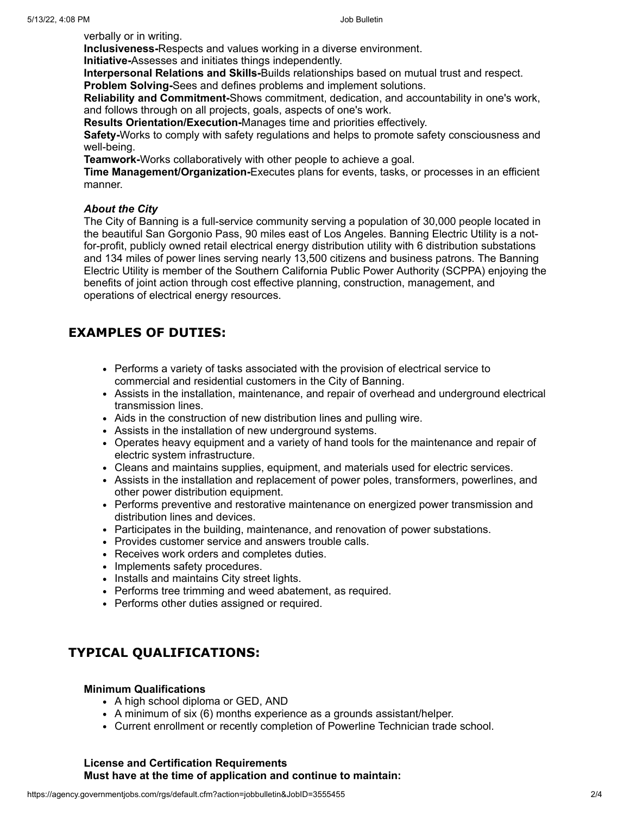verbally or in writing.

**Inclusiveness-**Respects and values working in a diverse environment. **Initiative-**Assesses and initiates things independently.

**Interpersonal Relations and Skills-**Builds relationships based on mutual trust and respect.

**Problem Solving-**Sees and defines problems and implement solutions.

**Reliability and Commitment-**Shows commitment, dedication, and accountability in one's work, and follows through on all projects, goals, aspects of one's work.

**Results Orientation/Execution-**Manages time and priorities effectively.

**Safety-**Works to comply with safety regulations and helps to promote safety consciousness and well-being.

**Teamwork-**Works collaboratively with other people to achieve a goal.

**Time Management/Organization-**Executes plans for events, tasks, or processes in an efficient manner.

### *About the City*

The City of Banning is a full-service community serving a population of 30,000 people located in the beautiful San Gorgonio Pass, 90 miles east of Los Angeles. Banning Electric Utility is a notfor-profit, publicly owned retail electrical energy distribution utility with 6 distribution substations and 134 miles of power lines serving nearly 13,500 citizens and business patrons. The Banning Electric Utility is member of the Southern California Public Power Authority (SCPPA) enjoying the benefits of joint action through cost effective planning, construction, management, and operations of electrical energy resources.

## **EXAMPLES OF DUTIES:**

- Performs a variety of tasks associated with the provision of electrical service to commercial and residential customers in the City of Banning.
- Assists in the installation, maintenance, and repair of overhead and underground electrical transmission lines.
- Aids in the construction of new distribution lines and pulling wire.
- Assists in the installation of new underground systems.
- Operates heavy equipment and a variety of hand tools for the maintenance and repair of electric system infrastructure.
- Cleans and maintains supplies, equipment, and materials used for electric services.
- Assists in the installation and replacement of power poles, transformers, powerlines, and other power distribution equipment.
- Performs preventive and restorative maintenance on energized power transmission and distribution lines and devices.
- Participates in the building, maintenance, and renovation of power substations.
- Provides customer service and answers trouble calls.
- Receives work orders and completes duties.
- Implements safety procedures.
- Installs and maintains City street lights.
- Performs tree trimming and weed abatement, as required.
- Performs other duties assigned or required.

## **TYPICAL QUALIFICATIONS:**

#### **Minimum Qualifications**

- A high school diploma or GED, AND
- A minimum of six (6) months experience as a grounds assistant/helper.
- Current enrollment or recently completion of Powerline Technician trade school.

#### **License and Certification Requirements Must have at the time of application and continue to maintain:**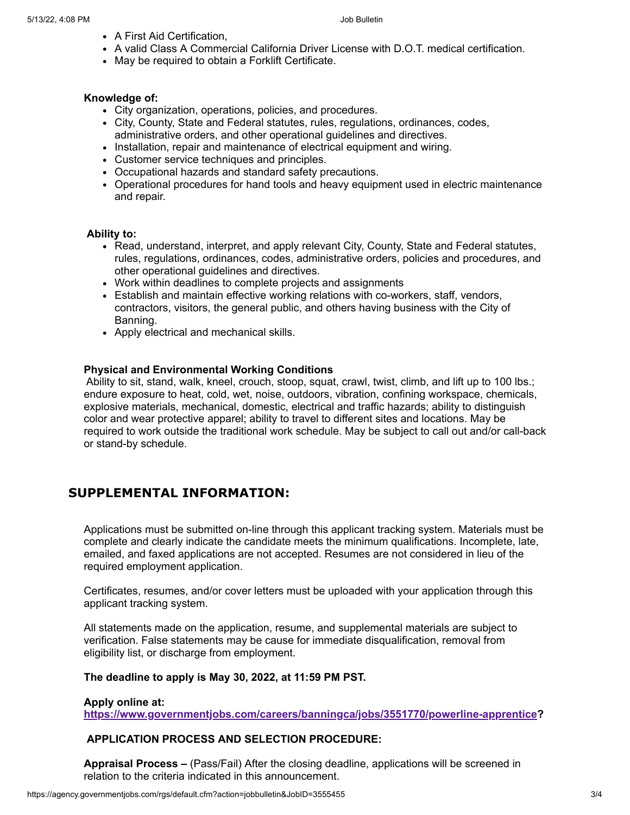- A First Aid Certification,
- A valid Class A Commercial California Driver License with D.O.T. medical certification.
- May be required to obtain a Forklift Certificate.

#### **Knowledge of:**

- City organization, operations, policies, and procedures.
- City, County, State and Federal statutes, rules, regulations, ordinances, codes, administrative orders, and other operational guidelines and directives.
- Installation, repair and maintenance of electrical equipment and wiring.
- Customer service techniques and principles.
- Occupational hazards and standard safety precautions.
- Operational procedures for hand tools and heavy equipment used in electric maintenance and repair.

#### **Ability to:**

- Read, understand, interpret, and apply relevant City, County, State and Federal statutes, rules, regulations, ordinances, codes, administrative orders, policies and procedures, and other operational guidelines and directives.
- Work within deadlines to complete projects and assignments
- Establish and maintain effective working relations with co-workers, staff, vendors, contractors, visitors, the general public, and others having business with the City of Banning.
- Apply electrical and mechanical skills.

#### **Physical and Environmental Working Conditions**

Ability to sit, stand, walk, kneel, crouch, stoop, squat, crawl, twist, climb, and lift up to 100 lbs.; endure exposure to heat, cold, wet, noise, outdoors, vibration, confining workspace, chemicals, explosive materials, mechanical, domestic, electrical and traffic hazards; ability to distinguish color and wear protective apparel; ability to travel to different sites and locations. May be required to work outside the traditional work schedule. May be subject to call out and/or call-back or stand-by schedule.

## **SUPPLEMENTAL INFORMATION:**

Applications must be submitted on-line through this applicant tracking system. Materials must be complete and clearly indicate the candidate meets the minimum qualifications. Incomplete, late, emailed, and faxed applications are not accepted. Resumes are not considered in lieu of the required employment application.

Certificates, resumes, and/or cover letters must be uploaded with your application through this applicant tracking system.

All statements made on the application, resume, and supplemental materials are subject to verification. False statements may be cause for immediate disqualification, removal from eligibility list, or discharge from employment.

#### **The deadline to apply is May 30, 2022, at 11:59 PM PST.**

#### **Apply online at:**

**https://www.governmentjobs.com/careers/banningca/jobs/3551770/powerline-apprentice?**

### **APPLICATION PROCESS AND SELECTION PROCEDURE:**

**Appraisal Process –** (Pass/Fail) After the closing deadline, applications will be screened in relation to the criteria indicated in this announcement.